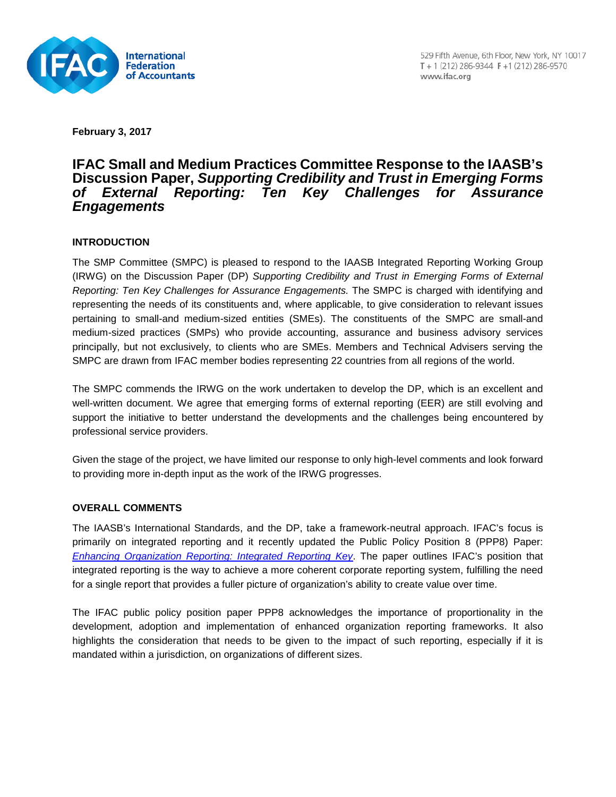

**February 3, 2017**

## **IFAC Small and Medium Practices Committee Response to the IAASB's Discussion Paper,** *Supporting Credibility and Trust in Emerging Forms Reporting: Ten Key Challenges for Assurance Engagements*

## **INTRODUCTION**

The SMP Committee (SMPC) is pleased to respond to the IAASB Integrated Reporting Working Group (IRWG) on the Discussion Paper (DP) *Supporting Credibility and Trust in Emerging Forms of External Reporting: Ten Key Challenges for Assurance Engagements.* The SMPC is charged with identifying and representing the needs of its constituents and, where applicable, to give consideration to relevant issues pertaining to small-and medium-sized entities (SMEs). The constituents of the SMPC are small-and medium-sized practices (SMPs) who provide accounting, assurance and business advisory services principally, but not exclusively, to clients who are SMEs. Members and Technical Advisers serving the SMPC are drawn from IFAC member bodies representing 22 countries from all regions of the world.

The SMPC commends the IRWG on the work undertaken to develop the DP, which is an excellent and well-written document. We agree that emerging forms of external reporting (EER) are still evolving and support the initiative to better understand the developments and the challenges being encountered by professional service providers.

Given the stage of the project, we have limited our response to only high-level comments and look forward to providing more in-depth input as the work of the IRWG progresses.

## **OVERALL COMMENTS**

The IAASB's International Standards, and the DP, take a framework-neutral approach. IFAC's focus is primarily on integrated reporting and it recently updated the Public Policy Position 8 (PPP8) Paper: *[Enhancing Organization Reporting: Integrated Reporting Key](http://www.ifac.org/publications-resources/enhancing-organizational-reporting-integrated-reporting-key)*. The paper outlines IFAC's position that integrated reporting is the way to achieve a more coherent corporate reporting system, fulfilling the need for a single report that provides a fuller picture of organization's ability to create value over time.

The IFAC public policy position paper PPP8 acknowledges the importance of proportionality in the development, adoption and implementation of enhanced organization reporting frameworks. It also highlights the consideration that needs to be given to the impact of such reporting, especially if it is mandated within a jurisdiction, on organizations of different sizes.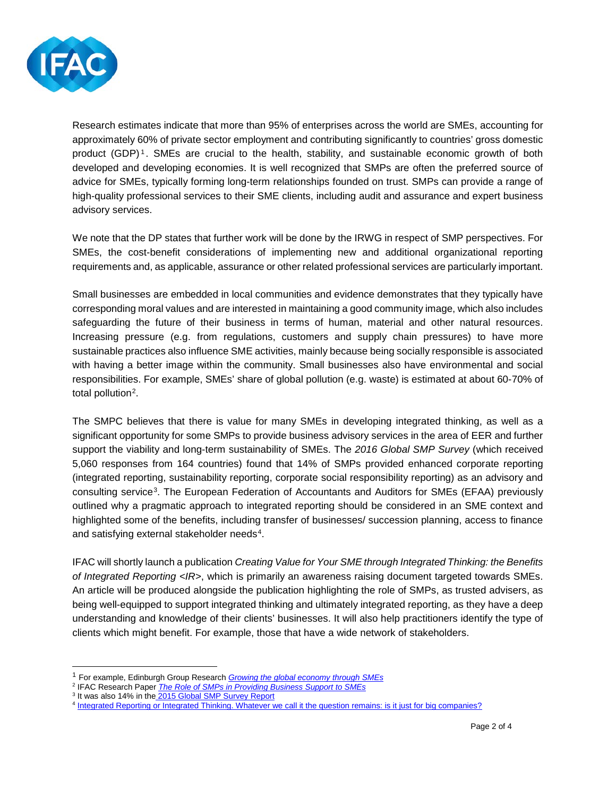

Research estimates indicate that more than 95% of enterprises across the world are SMEs, accounting for approximately 60% of private sector employment and contributing significantly to countries' gross domestic product (GDP)<sup>[1](#page-1-0)</sup>. SMEs are crucial to the health, stability, and sustainable economic growth of both developed and developing economies. It is well recognized that SMPs are often the preferred source of advice for SMEs, typically forming long-term relationships founded on trust. SMPs can provide a range of high-quality professional services to their SME clients, including audit and assurance and expert business advisory services.

We note that the DP states that further work will be done by the IRWG in respect of SMP perspectives. For SMEs, the cost-benefit considerations of implementing new and additional organizational reporting requirements and, as applicable, assurance or other related professional services are particularly important.

Small businesses are embedded in local communities and evidence demonstrates that they typically have corresponding moral values and are interested in maintaining a good community image, which also includes safeguarding the future of their business in terms of human, material and other natural resources. Increasing pressure (e.g. from regulations, customers and supply chain pressures) to have more sustainable practices also influence SME activities, mainly because being socially responsible is associated with having a better image within the community. Small businesses also have environmental and social responsibilities. For example, SMEs' share of global pollution (e.g. waste) is estimated at about 60-70% of total pollution<sup>[2](#page-1-1)</sup>.

The SMPC believes that there is value for many SMEs in developing integrated thinking, as well as a significant opportunity for some SMPs to provide business advisory services in the area of EER and further support the viability and long-term sustainability of SMEs. The *2016 Global SMP Survey* (which received 5,060 responses from 164 countries) found that 14% of SMPs provided enhanced corporate reporting (integrated reporting, sustainability reporting, corporate social responsibility reporting) as an advisory and consulting service[3](#page-1-2). The European Federation of Accountants and Auditors for SMEs (EFAA) previously outlined why a pragmatic approach to integrated reporting should be considered in an SME context and highlighted some of the benefits, including transfer of businesses/ succession planning, access to finance and satisfying external stakeholder needs<sup>[4](#page-1-3)</sup>.

IFAC will shortly launch a publication *Creating Value for Your SME through Integrated Thinking: the Benefits of Integrated Reporting <IR>*, which is primarily an awareness raising document targeted towards SMEs. An article will be produced alongside the publication highlighting the role of SMPs, as trusted advisers, as being well-equipped to support integrated thinking and ultimately integrated reporting, as they have a deep understanding and knowledge of their clients' businesses. It will also help practitioners identify the type of clients which might benefit. For example, those that have a wide network of stakeholders.

 <sup>1</sup> For example, Edinburgh Group Research *[Growing the global economy through SMEs](http://www.edinburgh-group.org/media/2776/edinburgh_group_research_-_growing_the_global_economy_through_smes.pdf)*

<span id="page-1-1"></span><span id="page-1-0"></span><sup>2</sup> IFAC Research Paper *[The Role of SMPs in Providing Business Support to SMEs](https://www.ifac.org/system/files/publications/files/IFAC-Role-SMPs-Providing-Business-Support-to-SMEs-New-Evidence.pdf)*

<span id="page-1-2"></span><sup>&</sup>lt;sup>3</sup> It was also 14% in the [2015 Global SMP Survey Report](http://www.ifac.org/publications-resources/ifac-global-smp-survey-2015-results)

<span id="page-1-3"></span><sup>4</sup> [Integrated Reporting or Integrated Thinking. Whatever we call it the question remains: is it just for big companies?](http://www.efaa.com/files/pdf/Publications/Articles/EFAA%20Publication_IR.pdf)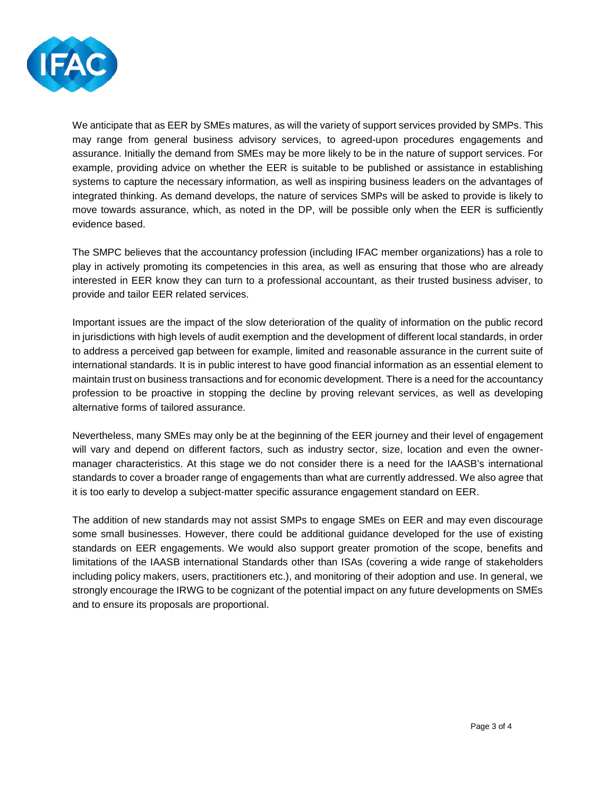

We anticipate that as EER by SMEs matures, as will the variety of support services provided by SMPs. This may range from general business advisory services, to agreed-upon procedures engagements and assurance. Initially the demand from SMEs may be more likely to be in the nature of support services. For example, providing advice on whether the EER is suitable to be published or assistance in establishing systems to capture the necessary information, as well as inspiring business leaders on the advantages of integrated thinking. As demand develops, the nature of services SMPs will be asked to provide is likely to move towards assurance, which, as noted in the DP, will be possible only when the EER is sufficiently evidence based.

The SMPC believes that the accountancy profession (including IFAC member organizations) has a role to play in actively promoting its competencies in this area, as well as ensuring that those who are already interested in EER know they can turn to a professional accountant, as their trusted business adviser, to provide and tailor EER related services.

Important issues are the impact of the slow deterioration of the quality of information on the public record in jurisdictions with high levels of audit exemption and the development of different local standards, in order to address a perceived gap between for example, limited and reasonable assurance in the current suite of international standards. It is in public interest to have good financial information as an essential element to maintain trust on business transactions and for economic development. There is a need for the accountancy profession to be proactive in stopping the decline by proving relevant services, as well as developing alternative forms of tailored assurance.

Nevertheless, many SMEs may only be at the beginning of the EER journey and their level of engagement will vary and depend on different factors, such as industry sector, size, location and even the ownermanager characteristics. At this stage we do not consider there is a need for the IAASB's international standards to cover a broader range of engagements than what are currently addressed. We also agree that it is too early to develop a subject-matter specific assurance engagement standard on EER.

The addition of new standards may not assist SMPs to engage SMEs on EER and may even discourage some small businesses. However, there could be additional guidance developed for the use of existing standards on EER engagements. We would also support greater promotion of the scope, benefits and limitations of the IAASB international Standards other than ISAs (covering a wide range of stakeholders including policy makers, users, practitioners etc.), and monitoring of their adoption and use. In general, we strongly encourage the IRWG to be cognizant of the potential impact on any future developments on SMEs and to ensure its proposals are proportional.